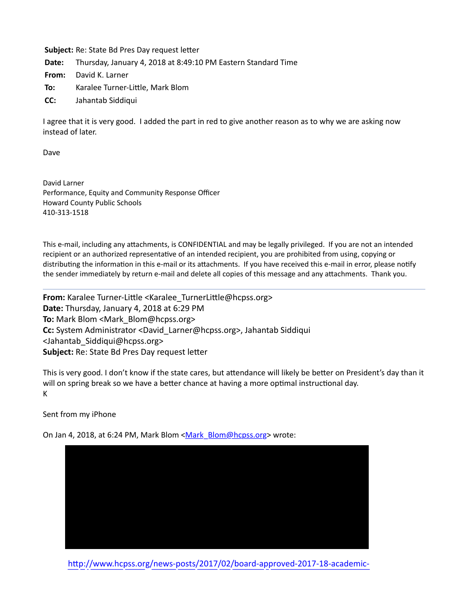**Subject:** Re: State Bd Pres Day request letter

**Date:** Thursday, January 4, 2018 at 8:49:10 PM Eastern Standard Time

**From:** David K. Larner

- **To:** Karalee Turner-Little, Mark Blom
- **CC:** Jahantab Siddiqui

I agree that it is very good. I added the part in red to give another reason as to why we are asking now instead of later.

Dave

David Larner Performance, Equity and Community Response Officer Howard County Public Schools 410-313-1518

This e-mail, including any attachments, is CONFIDENTIAL and may be legally privileged. If you are not an intended recipient or an authorized representative of an intended recipient, you are prohibited from using, copying or distributing the information in this e-mail or its attachments. If you have received this e-mail in error, please notify the sender immediately by return e-mail and delete all copies of this message and any attachments. Thank you.

**From:** Karalee Turner-Little <Karalee\_TurnerLittle@hcpss.org> **Date:** Thursday, January 4, 2018 at 6:29 PM **To:** Mark Blom <Mark\_Blom@hcpss.org> **Cc:** System Administrator <David Larner@hcpss.org>, Jahantab Siddiqui <Jahantab\_Siddiqui@hcpss.org> **Subject:** Re: State Bd Pres Day request letter

This is very good. I don't know if the state cares, but attendance will likely be better on President's day than it will on spring break so we have a better chance at having a more optimal instructional day. K

Sent from my iPhone

On Jan 4, 2018, at 6:24 PM, Mark Blom <[Mark\\_Blom@hcpss.org](mailto:Mark_Blom@hcpss.org)> wrote:



http://www.hcpss.org/news-posts/2017/02/board-approved-2017-18-academic-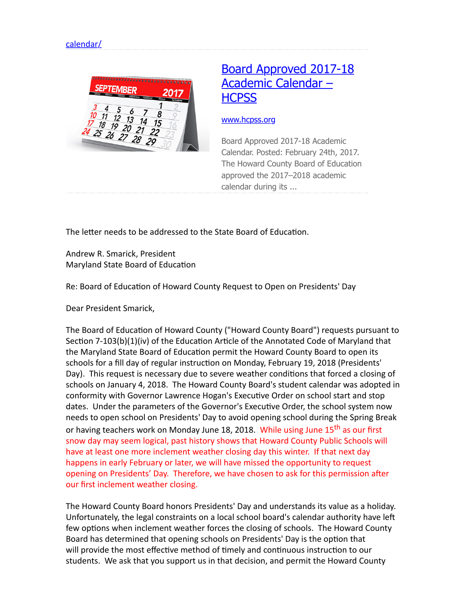

## [Board Approved 2017-18](http://www.hcpss.org/news-posts/2017/02/board-approved-2017-18-academic-calendar/) Academic Calendar – **HCPSS**

## [www.hcpss.org](http://www.hcpss.org/)

Board Approved 2017-18 Academic Calendar. Posted: February 24th, 2017. The Howard County Board of Education approved the 2017–2018 academic calendar during its ...

The letter needs to be addressed to the State Board of Education.

Andrew R. Smarick, President Maryland State Board of Education

Re: Board of Education of Howard County Request to Open on Presidents' Day

Dear President Smarick,

The Board of Education of Howard County ("Howard County Board") requests pursuant to Section 7-103(b)(1)(iv) of the Education Article of the Annotated Code of Maryland that the Maryland State Board of Education permit the Howard County Board to open its schools for a fill day of regular instruction on Monday, February 19, 2018 (Presidents' Day). This request is necessary due to severe weather conditions that forced a closing of schools on January 4, 2018. The Howard County Board's student calendar was adopted in conformity with Governor Lawrence Hogan's Executive Order on school start and stop dates. Under the parameters of the Governor's Executive Order, the school system now needs to open school on Presidents' Day to avoid opening school during the Spring Break or having teachers work on Monday June 18, 2018. While using June 15<sup>th</sup> as our first snow day may seem logical, past history shows that Howard County Public Schools will have at least one more inclement weather closing day this winter. If that next day happens in early February or later, we will have missed the opportunity to request opening on Presidents' Day. Therefore, we have chosen to ask for this permission after our first inclement weather closing.

The Howard County Board honors Presidents' Day and understands its value as a holiday. Unfortunately, the legal constraints on a local school board's calendar authority have left few options when inclement weather forces the closing of schools. The Howard County Board has determined that opening schools on Presidents' Day is the option that will provide the most effective method of timely and continuous instruction to our students. We ask that you support us in that decision, and permit the Howard County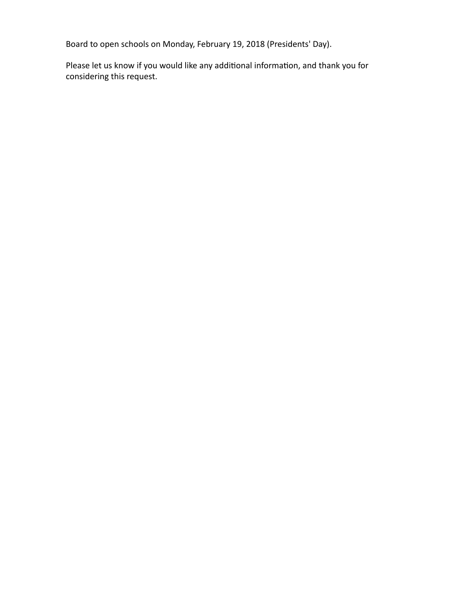Board to open schools on Monday, February 19, 2018 (Presidents' Day).

Please let us know if you would like any additional information, and thank you for considering this request.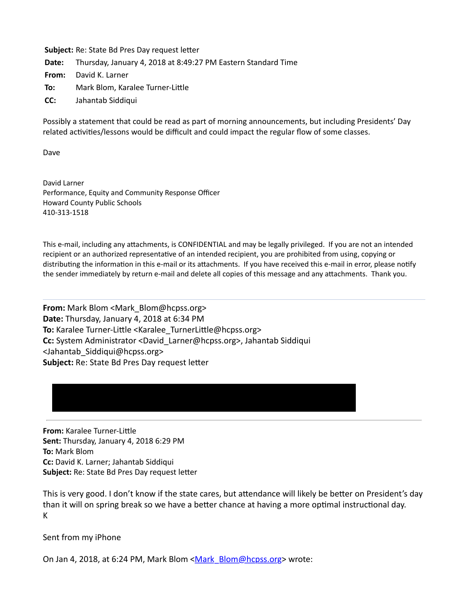**Subject:** Re: State Bd Pres Day request letter **Date:** Thursday, January 4, 2018 at 8:49:27 PM Eastern Standard Time **From:** David K. Larner **To:** Mark Blom, Karalee Turner-Little

**CC:** Jahantab Siddiqui

Possibly a statement that could be read as part of morning announcements, but including Presidents' Day related activities/lessons would be difficult and could impact the regular flow of some classes.

Dave

David Larner Performance, Equity and Community Response Officer Howard County Public Schools 410-313-1518

This e-mail, including any attachments, is CONFIDENTIAL and may be legally privileged. If you are not an intended recipient or an authorized representative of an intended recipient, you are prohibited from using, copying or distributing the information in this e-mail or its attachments. If you have received this e-mail in error, please notify the sender immediately by return e-mail and delete all copies of this message and any attachments. Thank you.

**From:** Mark Blom <Mark Blom@hcpss.org> **Date:** Thursday, January 4, 2018 at 6:34 PM To: Karalee Turner-Little <Karalee\_TurnerLittle@hcpss.org> **Cc:** System Administrator <David\_Larner@hcpss.org>, Jahantab Siddiqui <Jahantab\_Siddiqui@hcpss.org> **Subject:** Re: State Bd Pres Day request letter

**From:** Karalee Turner-Little **Sent:** Thursday, January 4, 2018 6:29 PM **To:** Mark Blom **Cc:** David K. Larner; Jahantab Siddiqui **Subject:** Re: State Bd Pres Day request letter

This is very good. I don't know if the state cares, but attendance will likely be better on President's day than it will on spring break so we have a better chance at having a more optimal instructional day. K

Sent from my iPhone

On Jan 4, 2018, at 6:24 PM, Mark Blom [<Mark\\_Blom@hcpss.org>](mailto:Mark_Blom@hcpss.org) wrote: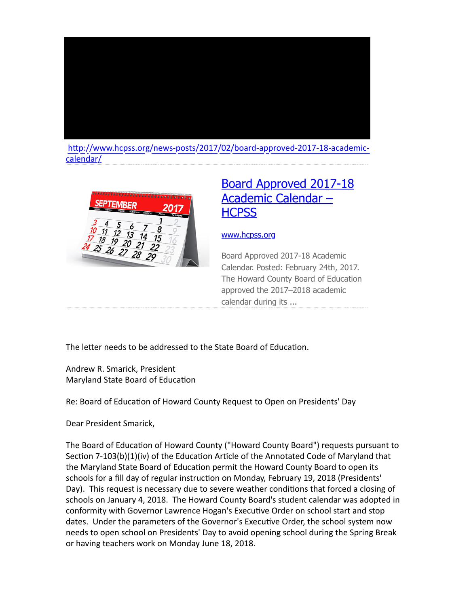

http://www.hcpss.org/news-posts/2017/02/board-approved-2017-18-academiccalendar/



## [Board Approved 2017-18](http://www.hcpss.org/news-posts/2017/02/board-approved-2017-18-academic-calendar/) Academic Calendar – **HCPSS**

## [www.hcpss.org](http://www.hcpss.org/)

Board Approved 2017-18 Academic Calendar. Posted: February 24th, 2017. The Howard County Board of Education approved the 2017–2018 academic calendar during its ...

The letter needs to be addressed to the State Board of Education.

Andrew R. Smarick, President Maryland State Board of Education

Re: Board of Education of Howard County Request to Open on Presidents' Day

Dear President Smarick,

The Board of Education of Howard County ("Howard County Board") requests pursuant to Section  $7-103(b)(1)(iv)$  of the Education Article of the Annotated Code of Maryland that the Maryland State Board of Education permit the Howard County Board to open its schools for a fill day of regular instruction on Monday, February 19, 2018 (Presidents' Day). This request is necessary due to severe weather conditions that forced a closing of schools on January 4, 2018. The Howard County Board's student calendar was adopted in conformity with Governor Lawrence Hogan's Executive Order on school start and stop dates. Under the parameters of the Governor's Executive Order, the school system now needs to open school on Presidents' Day to avoid opening school during the Spring Break or having teachers work on Monday June 18, 2018.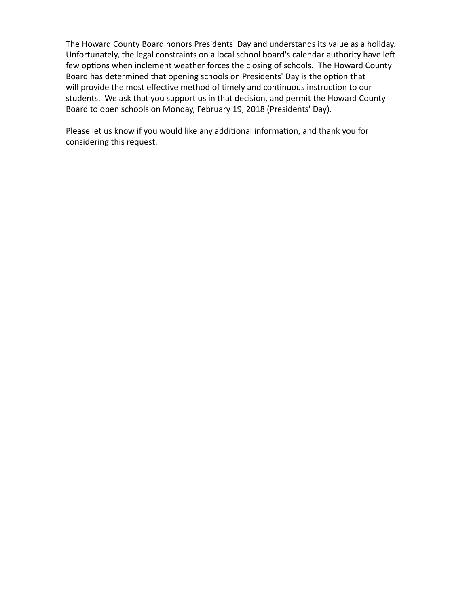The Howard County Board honors Presidents' Day and understands its value as a holiday. Unfortunately, the legal constraints on a local school board's calendar authority have left few options when inclement weather forces the closing of schools. The Howard County Board has determined that opening schools on Presidents' Day is the option that will provide the most effective method of timely and continuous instruction to our students. We ask that you support us in that decision, and permit the Howard County Board to open schools on Monday, February 19, 2018 (Presidents' Day).

Please let us know if you would like any additional information, and thank you for considering this request.